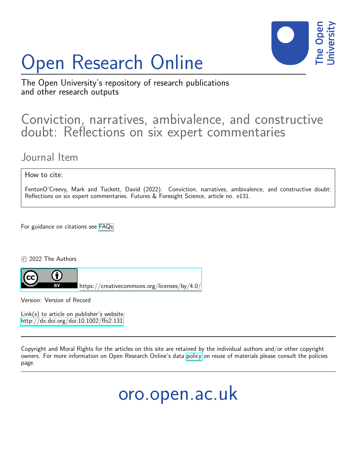# Open Research Online



The Open University's repository of research publications and other research outputs

## Conviction, narratives, ambivalence, and constructive doubt: Reflections on six expert commentaries

## Journal Item

How to cite:

FentonO'Creevy, Mark and Tuckett, David (2022). Conviction, narratives, ambivalence, and constructive doubt: Reflections on six expert commentaries. Futures & Foresight Science, article no. e131.

For guidance on citations see [FAQs.](http://oro.open.ac.uk/help/helpfaq.html)

c 2022 The Authors



<https://creativecommons.org/licenses/by/4.0/>

Version: Version of Record

Link(s) to article on publisher's website: <http://dx.doi.org/doi:10.1002/ffo2.131>

Copyright and Moral Rights for the articles on this site are retained by the individual authors and/or other copyright owners. For more information on Open Research Online's data [policy](http://oro.open.ac.uk/policies.html) on reuse of materials please consult the policies page.

oro.open.ac.uk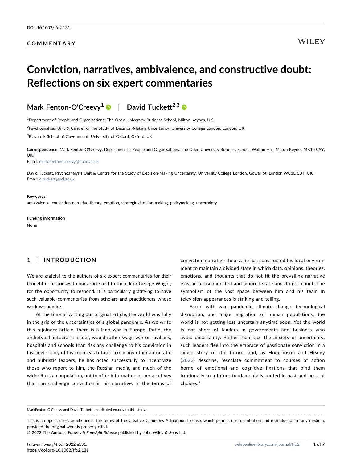#### COMMENTARY

## Conviction, narratives, ambivalence, and constructive doubt: Reflections on six expert commentaries



<sup>1</sup>Department of People and Organisations, The Open University Business School, Milton Keynes, UK

2 Psychoanalysis Unit & Centre for the Study of Decision‐Making Uncertainty, University College London, London, UK

<sup>3</sup>Blavatnik School of Government, University of Oxford, Oxford, UK

Correspondence: Mark Fenton‐O'Creevy, Department of People and Organisations, The Open University Business School, Walton Hall, Milton Keynes MK15 0AY, UK.

Email: [mark.fentonocreevy@open.ac.uk](mailto:mark.fentonocreevy@open.ac.uk)

David Tuckett, Psychoanalysis Unit & Centre for the Study of Decision‐Making Uncertainty, University College London, Gower St, London WC1E 6BT, UK. Email: [d.tuckett@ucl.ac.uk](mailto:d.tuckett@ucl.ac.uk)

#### Keywords

ambivalence, conviction narrative theory, emotion, strategic decision-making, policymaking, uncertainty

Funding information

None

#### 1 | INTRODUCTION

We are grateful to the authors of six expert commentaries for their thoughtful responses to our article and to the editor George Wright, for the opportunity to respond. It is particularly gratifying to have such valuable commentaries from scholars and practitioners whose work we admire.

At the time of writing our original article, the world was fully in the grip of the uncertainties of a global pandemic. As we write this rejoinder article, there is a land war in Europe. Putin, the archetypal autocratic leader, would rather wage war on civilians, hospitals and schools than risk any challenge to his conviction in his single story of his country's future. Like many other autocratic and hubristic leaders, he has acted successfully to incentivize those who report to him, the Russian media, and much of the wider Russian population, not to offer information or perspectives that can challenge conviction in his narrative. In the terms of

conviction narrative theory, he has constructed his local environment to maintain a divided state in which data, opinions, theories, emotions, and thoughts that do not fit the prevailing narrative exist in a disconnected and ignored state and do not count. The symbolism of the vast space between him and his team in television appearances is striking and telling.

Faced with war, pandemic, climate change, technological disruption, and major migration of human populations, the world is not getting less uncertain anytime soon. Yet the world is not short of leaders in governments and business who avoid uncertainty. Rather than face the anxiety of uncertainty, such leaders flee into the embrace of passionate conviction in a single story of the future, and, as Hodgkinson and Healey ([2022\)](#page-6-0) describe, "escalate commitment to courses of action borne of emotional and cognitive fixations that bind them irrationally to a future fundamentally rooted in past and present choices."

MarkFenton‐O'Creevy and David Tuckett contributed equally to this study.

This is an open access article under the terms of the Creative Commons Attribution License, which permits use, distribution and reproduction in any medium, provided the original work is properly cited.

<sup>© 2022</sup> The Authors. Futures & Foresight Science published by John Wiley & Sons Ltd.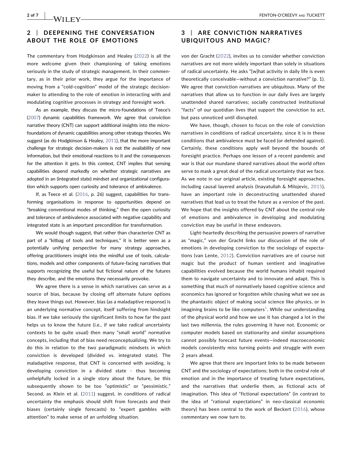#### 2 | DEEPENING THE CONVERSATION ABOUT THE ROLE OF EMOTIONS

The commentary from Hodgkinson and Healey ([2022\)](#page-6-0) is all the more welcome given their championing of taking emotions seriously in the study of strategic management. In their commentary, as in their prior work, they argue for the importance of moving from a "cold‐cognition" model of the strategic decision‐ maker to attending to the role of emotion in interacting with and modulating cognitive processes in strategy and foresight work.

As an example, they discuss the micro‐foundations of Teece's ([2007\)](#page-6-1) dynamic capabilities framework. We agree that conviction narrative theory (CNT) can support additional insights into the micro‐ foundations of dynamic capabilities among other strategy theories. We suggest (as do Hodgkinson & Healey, [2011](#page-6-2)), that the more important challenge for strategic decision‐makers is not the availability of new information, but their emotional reactions to it and the consequences for the attention it gets. In this context, CNT implies that sensing capabilities depend markedly on whether strategic narratives are adopted in an (integrated state) mindset and organizational configuration which supports open curiosity and tolerance of ambivalence.

If, as Teece et al. [\(2016,](#page-6-3) p. 26) suggest, capabilities for transforming organisations in response to opportunities depend on "breaking conventional modes of thinking," then the open curiosity and tolerance of ambivalence associated with negative capability and integrated state is an important precondition for transformation.

We would though suggest, that rather than characterize CNT as part of a "kitbag of tools and techniques," it is better seen as a potentially unifying perspective for many strategy approaches, offering practitioners insight into the mindful use of tools, calculations, models and other components of future‐facing narratives that supports recognizing the useful but fictional nature of the futures they describe, and the emotions they necessarily provoke.

We agree there is a sense in which narratives can serve as a source of bias, because by closing off alternate future options they leave things out. However, bias (as a maladaptive response) is an underlying normative concept, itself suffering from hindsight bias. If we take seriously the significant limits to how far the past helps us to know the future (i.e., if we take radical uncertainty contexts to be quite usual) then many "small world" normative concepts, including that of bias need reconceptualizing. We try to do this in relation to the two paradigmatic mindsets in which conviction is developed (divided vs. integrated state). The maladaptive response, that CNT is concerned with avoiding, is developing conviction in a divided state ‐ thus becoming unhelpfully locked in a single story about the future, be this subsequently shown to be too "optimistic" or "pessimistic." Second, as Klein et al. [\(2011\)](#page-6-4) suggest, in conditions of radical uncertainty the emphasis should shift from forecasts and their biases (certainly single forecasts) to "expert gambles with attention" to make sense of an unfolding situation.

#### 3 | ARE CONVICTION NARRATIVES UBIQUITOUS AND MAGIC?

von der Gracht [\(2022\)](#page-7-0), invites us to consider whether conviction narratives are not more widely important than solely in situations of radical uncertainty. He asks "[w]hat activity in daily life is even theoretically conceivable—without a conviction narrative?" (p. 1). We agree that conviction narratives are ubiquitous. Many of the narratives that allow us to function in our daily lives are largely unattended shared narratives; socially constructed institutional "facts" of our quotidian lives that support the conviction to act, but pass unnoticed until disrupted.

We have, though, chosen to focus on the role of conviction narratives in conditions of radical uncertainty, since it is in these conditions that ambivalence must be faced (or defended against). Certainly, these conditions apply well beyond the bounds of foresight practice. Perhaps one lesson of a recent pandemic and war is that our mundane shared narratives about the world often serve to mask a great deal of the radical uncertainty that we face. As we note in our original article, existing foresight approaches, including causal layered analysis (Inayatullah & Milojevic, [2015](#page-6-5)), have an important role in deconstructing unattended shared narratives that lead us to treat the future as a version of the past. We hope that the insights offered by CNT about the central role of emotions and ambivalence in developing and modulating conviction may be useful in these endeavors.

Light‐heartedly describing the persuasive powers of narrative as "magic," von der Gracht links our discussion of the role of emotions in developing conviction to the sociology of expectations (van Lente, [2012\)](#page-6-6). Conviction narratives are of course not magic but the product of human sentient and imaginative capabilities evolved because the world humans inhabit required them to navigate uncertainty and to innovate and adapt. This is something that much of normatively based cognitive science and economics has ignored or forgotten while chasing what we see as the phantastic object of making social science like physics, or in imagining brains to be like computers<sup>[1](#page-6-7)</sup>. While our understanding of the physical world and how we use it has changed a lot in the last two millennia, the rules governing it have not. Economic or computer models based on stationarity and similar assumptions cannot possibly forecast future events—indeed macroeconomic models consistently miss turning points and struggle with even 2 years ahead.

We agree that there are important links to be made between CNT and the sociology of expectations; both in the central role of emotion and in the importance of treating future expectations, and the narratives that underlie them, as fictional acts of imagination. This idea of "fictional expectations" (in contrast to the idea of "rational expectations" in neo‐classical economic theory) has been central to the work of Beckert [\(2016\)](#page-6-8), whose commentary we now turn to.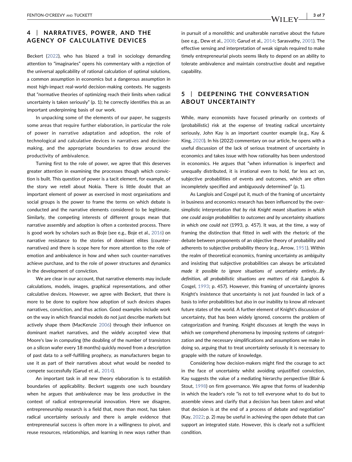### 4 | NARRATIVES, POWER, AND THE AGENCY OF CALCULATIVE DEVICES

Beckert [\(2022\)](#page-6-9), who has blazed a trail in sociology demanding attention to "imaginaries" opens his commentary with a rejection of the universal applicability of rational calculation of optimal solutions, a common assumption in economics but a dangerous assumption in most high‐impact real‐world decision‐making contexts. He suggests that "normative theories of optimizing reach their limits when radical uncertainty is taken seriously" (p. 1); he correctly identifies this as an important underpinning basis of our work.

In unpacking some of the elements of our paper, he suggests some areas that require further elaboration, in particular the role of power in narrative adaptation and adoption, the role of technological and calculative devices in narratives and decision‐ making, and the appropriate boundaries to draw around the productivity of ambivalence.

Turning first to the role of power, we agree that this deserves greater attention in examining the processes though which conviction is built. This question of power is a tacit element, for example, of the story we retell about Nokia. There is little doubt that an important element of power as exercised in most organisations and social groups is the power to frame the terms on which debate is conducted and the narrative elements considered to be legitimate. Similarly, the competing interests of different groups mean that narrative assembly and adoption is often a contested process. There is good work by scholars such as Boje (see e.g., Boje et al., [2016\)](#page-6-10) on narrative resistance to the stories of dominant elites (counter‐ narratives) and there is scope here for more attention to the role of emotion and ambivalence in how and when such counter‐narratives achieve purchase, and to the role of power structures and dynamics in the development of conviction.

We are clear in our account, that narrative elements may include calculations, models, images, graphical representations, and other calculative devices. However, we agree with Beckert, that there is more to be done to explore how adoption of such devices shapes narratives, conviction, and thus action. Good examples include work on the way in which financial models do not just describe markets but actively shape them (MacKenzie [2006\)](#page-6-11) through their influence on dominant market narratives, and the widely accepted view that Moore's law in computing (the doubling of the number of transistors on a silicon wafer every 18 months) quickly moved from a description of past data to a self‐fulfilling prophecy, as manufacturers began to use it as part of their narratives about what would be needed to compete successfully (Garud et al., [2014\)](#page-6-12).

An important task in all new theory elaboration is to establish boundaries of applicability. Beckert suggests one such boundary when he argues that ambivalence may be less productive in the context of radical entrepreneurial innovation. Here we disagree, entrepreneurship research is a field that, more than most, has taken radical uncertainty seriously and there is ample evidence that entrepreneurial success is often more in a willingness to pivot, and reuse resources, relationships, and learning in new ways rather than

in pursuit of a monolithic and unalterable narrative about the future (see e.g., Dew et al., [2008](#page-6-13); Garud et al., [2014](#page-6-12); Sarasvathy, [2001](#page-6-14)). The effective sensing and interpretation of weak signals required to make timely entrepreneurial pivots seems likely to depend on an ability to tolerate ambivalence and maintain constructive doubt and negative capability.

#### 5 | DEEPENING THE CONVERSATION ABOUT UNCERTAINTY

While, many economists have focused primarily on contexts of (probabilistic) risk at the expense of treating radical uncertainty seriously, John Kay is an important counter example (e.g., Kay & King, [2020](#page-6-15)). In his (2022) commentary on our article, he opens with a useful discussion of the lack of serious treatment of uncertainty in economics and takes issue with how rationality has been understood in economics. He argues that "when information is imperfect and unequally distributed, it is irrational even to hold, far less act on, subjective probabilities of events and outcomes, which are often incompletely specified and ambiguously determined" (p. 1).

As Langlois and Cosgel put it, much of the framing of uncertainty in business and economics research has been influenced by the over‐ simplistic interpretation that by risk Knight meant situations in which one could assign probabilities to outcomes and by uncertainty situations in which one could not (1993, p. 457). It was, at the time, a way of framing the distinction that fitted in well with the rhetoric of the debate between proponents of an objective theory of probability and adherents to subjective probability theory (e.g., Arrow, [1951](#page-6-16)). Within the realm of theoretical economics, framing uncertainty as ambiguity and insisting that subjective probabilities can always be articulated made it possible to ignore situations of uncertainty entirely…By definition, all probabilistic situations are matters of risk (Langlois & Cosgel, [1993;](#page-6-17) p. 457). However, this framing of uncertainty ignores Knight's insistence that uncertainty is not just founded in lack of a basis to infer probabilities but also in our inability to know all relevant future states of the world. A further element of Knight's discussion of uncertainty, that has been widely ignored, concerns the problem of categorization and framing. Knight discusses at length the ways in which we comprehend phenomena by imposing systems of categorization and the necessary simplifications and assumptions we make in doing so, arguing that to treat uncertainty seriously it is necessary to grapple with the nature of knowledge.

Considering how decision‐makers might find the courage to act in the face of uncertainty whilst avoiding unjustified conviction, Kay suggests the value of a mediating hierarchy perspective (Blair & Stout, [1998\)](#page-6-18) on firm governance. We agree that forms of leadership in which the leader's role "is not to tell everyone what to do but to assemble views and clarify that a decision has been taken and what that decision is at the end of a process of debate and negotiation" (Kay, [2022;](#page-6-19) p. 2) may be useful in achieving the open debate that can support an integrated state. However, this is clearly not a sufficient condition.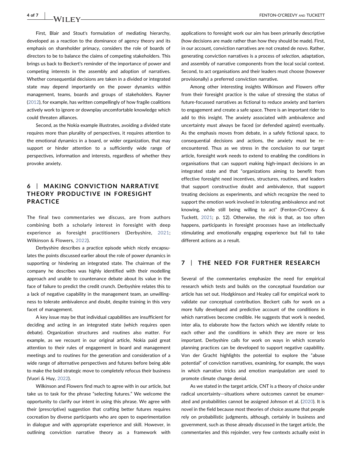First, Blair and Stout's formulation of mediating hierarchy, developed as a reaction to the dominance of agency theory and its emphasis on shareholder primacy, considers the role of boards of directors to be to balance the claims of competing stakeholders. This brings us back to Beckert's reminder of the importance of power and competing interests in the assembly and adoption of narratives. Whether consequential decisions are taken in a divided or integrated state may depend importantly on the power dynamics within management, teams, boards and groups of stakeholders. Rayner ([2012](#page-6-20)), for example, has written compellingly of how fragile coalitions actively work to ignore or downplay uncomfortable knowledge which could threaten alliances.

Second, as the Nokia example illustrates, avoiding a divided state requires more than plurality of perspectives, it requires attention to the emotional dynamics in a board, or wider organization, that may support or hinder attention to a sufficiently wide range of perspectives, information and interests, regardless of whether they provoke anxiety.

#### 6 | MAKING CONVICTION NARRATIVE THEORY PRODUCTIVE IN FORESIGHT PRACTICE

The final two commentaries we discuss, are from authors combining both a scholarly interest in foresight with deep experience as foresight practitioners (Derbyshire, [2021](#page-6-21); Wilkinson & Flowers, [2022\)](#page-7-1).

Derbyshire describes a practice episode which nicely encapsulates the points discussed earlier about the role of power dynamics in supporting or hindering an integrated state. The chairman of the company he describes was highly identified with their modelling approach and unable to countenance debate about its value in the face of failure to predict the credit crunch. Derbyshire relates this to a lack of negative capability in the management team, an unwillingness to tolerate ambivalence and doubt, despite training in this very facet of management.

A key issue may be that individual capabilities are insufficient for deciding and acting in an integrated state (which requires open debate). Organization structures and routines also matter. For example, as we recount in our original article, Nokia paid great attention to their rules of engagement in board and management meetings and to routines for the generation and consideration of a wide range of alternative perspectives and futures before being able to make the bold strategic move to completely refocus their business (Vuori & Huy, [2022\)](#page-7-2).

Wilkinson and Flowers find much to agree with in our article, but take us to task for the phrase "selecting futures." We welcome the opportunity to clarify our intent in using this phrase. We agree with their (prescriptive) suggestion that crafting better futures requires cocreation by diverse participants who are open to experimentation in dialogue and with appropriate experience and skill. However, in outlining conviction narrative theory as a framework with

applications to foresight work our aim has been primarily descriptive (how decisions are made rather than how they should be made). First, in our account, conviction narratives are not created de novo. Rather, generating conviction narratives is a process of selection, adaptation, and assembly of narrative components from the local social context. Second, to act organisations and their leaders must choose (however provisionally) a preferred conviction narrative.

Among other interesting insights Wilkinson and Flowers offer from their foresight practice is the value of stressing the status of future‐focussed narratives as fictional to reduce anxiety and barriers to engagement and create a safe space. There is an important rider to add to this insight. The anxiety associated with ambivalence and uncertainty must always be faced (or defended against) eventually. As the emphasis moves from debate, in a safely fictional space, to consequential decisions and actions, the anxiety must be re‐ encountered. Thus as we stress in the conclusion to our target article, foresight work needs to extend to enabling the conditions in organisations that can support making high‐impact decisions in an integrated state and that "organizations aiming to benefit from effective foresight need incentives, structures, routines, and leaders that support constructive doubt and ambivalence, that support treating decisions as experiments, and which recognize the need to support the emotion work involved in tolerating ambivalence and not knowing, while still being willing to act" (Fenton‐O'Creevy & Tuckett, [2021;](#page-6-22) p. 12). Otherwise, the risk is that, as too often happens, participants in foresight processes have an intellectually stimulating and emotionally engaging experience but fail to take different actions as a result.

#### 7 | THE NEED FOR FURTHER RESEARCH

Several of the commentaries emphasize the need for empirical research which tests and builds on the conceptual foundation our article has set out. Hodgkinson and Healey call for empirical work to validate our conceptual contribution. Beckert calls for work on a more fully developed and predictive account of the conditions in which narratives become credible. He suggests that work is needed, inter alia, to elaborate how the factors which we identify relate to each other and the conditions in which they are more or less important. Derbyshire calls for work on ways in which scenario planning practices can be developed to support negative capability. Von der Gracht highlights the potential to explore the "abuse potential" of conviction narratives, examining, for example, the ways in which narrative tricks and emotion manipulation are used to promote climate change denial.

As we stated in the target article, CNT is a theory of choice under radical uncertainty—situations where outcomes cannot be enumerated and probabilities cannot be assigned Johnson et al. [\(2020\)](#page-6-23). It is novel in the field because most theories of choice assume that people rely on probabilistic judgments, although, certainly in business and government, such as those already discussed in the target article, the commentaries and this rejoinder, very few contexts actually exist in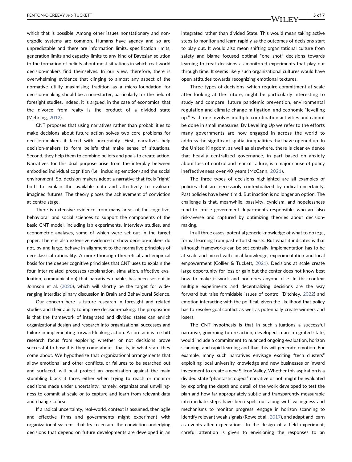which that is possible. Among other issues nonstationary and non‐ ergodic systems are common. Humans have agency and so are unpredictable and there are information limits, specification limits, generation limits and capacity limits to any kind of Bayesian solution to the formation of beliefs about most situations in which real‐world decision‐makers find themselves. In our view, therefore, there is overwhelming evidence that clinging to almost any aspect of the normative utility maximising tradition as a micro‐foundation for decision‐making should be a non‐starter, particularly for the field of foresight studies. Indeed, it is argued, in the case of economics, that the divorce from realty is the product of a divided state (Mehrling, [2012](#page-6-24)).

CNT proposes that using narratives rather than probabilities to make decisions about future action solves two core problems for decision‐makers if faced with uncertainty. First, narratives help decision‐makers to form beliefs that make sense of situations. Second, they help them to combine beliefs and goals to create action. Narratives for this dual purpose arise from the interplay between embodied individual cognition (i.e., including emotion) and the social environment. So, decision-makers adopt a narrative that feels "right" both to explain the available data and affectively to evaluate imagined futures. The theory places the achievement of conviction at centre stage.

There is extensive evidence from many areas of the cognitive, behavioral, and social sciences to support the components of the basic CNT model, including lab experiments, interview studies, and econometric analyses, some of which were set out in the target paper. There is also extensive evidence to show decision‐makers do not, by and large, behave in alignment to the normative principles of neo‐classical rationality. A more thorough theoretical and empirical basis for the deeper cognitive principles that CNT uses to explain the four inter‐related processes (explanation, simulation, affective evaluation, communication) that narratives enable, has been set out in Johnson et al. [\(2020\)](#page-6-23), which will shortly be the target for wide‐ ranging interdisciplinary discussion in Brain and Behavioural Science.

Our concern here is future research in foresight and related studies and their ability to improve decision‐making. The proposition is that the framework of integrated and divided states can enrich organizational design and research into organizational successes and failure in implementing forward‐looking action. A core aim is to shift research focus from exploring whether or not decisions prove successful to how it is they come about—that is, in what state they come about. We hypothesize that organizational arrangements that allow emotional and other conflicts, or failures to be searched out and surfaced. will best protect an organization against the main stumbling block it faces either when trying to reach or monitor decisions made under uncertainty: namely, organizational unwillingness to commit at scale or to capture and learn from relevant data and change course.

If a radical uncertainty, real‐world, context is assumed, then agile and effective firms and governments might experiment with organizational systems that try to ensure the conviction underlying decisions that depend on future developments are developed in an integrated rather than divided State. This would mean taking active steps to monitor and learn rapidly as the outcomes of decisions start to play out. It would also mean shifting organizational culture from safety and blame focused optimal "one shot" decisions towards learning to treat decisions as monitored experiments that play out through time. It seems likely such organizational cultures would have open attitudes towards recognizing emotional textures.

Three types of decisions, which require commitment at scale after looking at the future, might be particularly interesting to study and compare: future pandemic prevention, environmental regulation and climate change mitigation, and economic "levelling up." Each one involves multiple coordination activities and cannot be done in small measures. By Levelling Up we refer to the efforts many governments are now engaged in across the world to address the significant spatial inequalities that have opened up. In the United Kingdom, as well as elsewhere, there is clear evidence that heavily centralized governance, in part based on anxiety about loss of control and fear of failure, is a major cause of policy ineffectiveness over 40 years (McCann, [2021\)](#page-6-25).

The three types of decisions highlighted are all examples of policies that are necessarily contextualized by radical uncertainty. Past policies have been timid. But inaction is no longer an option. The challenge is that, meanwhile, passivity, cynicism, and hopelessness tend to infuse government departments responsible, who are also risk‐averse and captured by optimizing theories about decision‐ making.

In all three cases, potential generic knowledge of what to do (e.g., formal learning from past efforts) exists. But what it indicates is that although frameworks can be set centrally, implementation has to be at scale and mixed with local knowledge, experimentation and local empowerment (Collier & Tuckett, [2021\)](#page-6-26). Decisions at scale create large opportunity for loss or gain but the center does not know best how to make it work and nor does anyone else. In this context multiple experiments and decentralizing decisions are the way forward but raise formidable issues of control (Ditchley, [2022](#page-6-27)) and emotion interacting with the political, given the likelihood that policy has to resolve goal conflict as well as potentially create winners and losers.

The CNT hypothesis is that in such situations a successful narrative, governing future action, developed in an integrated state, would include a commitment to nuanced ongoing evaluation, horizon scanning, and rapid learning and that this will generate emotion. For example, many such narratives envisage exciting "tech clusters" exploiting local university knowledge and new businesses or inward investment to create a new Silicon Valley. Whether this aspiration is a divided state "phantastic object" narrative or not, might be evaluated by exploring the depth and detail of the work developed to test the plan and how far appropriately subtle and transparently measurable intermediate steps have been spelt out along with willingness and mechanisms to monitor progress, engage in horizon scanning to identify relevant weak signals (Rowe et al., [2017\)](#page-6-28), and adapt and learn as events alter expectations. In the design of a field experiment, careful attention is given to envisioning the responses to an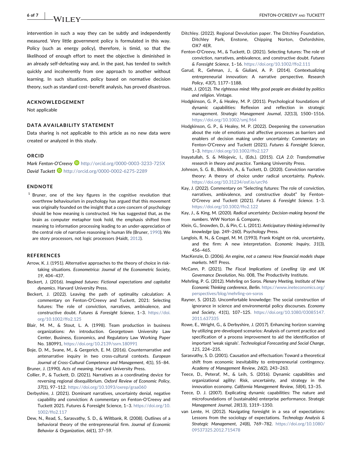intervention in such a way they can be subtly and independently measured. Very little government policy is formulated in this way. Policy (such as energy policy), therefore, is timid, so that the likelihood of enough effort to meet the objective is diminished in an already self‐defeating way and, in the past, has tended to switch quickly and incoherently from one approach to another without learning. In such situations, policy based on normative decision theory, such as standard cost–benefit analysis, has proved disastrous.

#### ACKNOWLEDGEMENT

Not applicable

#### DATA AVAILABILITY STATEMENT

Data sharing is not applicable to this article as no new data were created or analyzed in this study.

#### ORCID

Mark Fenton-O'Creevy D <http://orcid.org/0000-0003-3233-725X> David Tuckett **b** <http://orcid.org/0000-0002-6275-2289>

#### ENDNOTE

<span id="page-6-7"></span> $1$  Bruner, one of the key figures in the cognitive revolution that overthrew behaviourism in psychology has argued that this movement was originally founded on the insight that a core concern of psychology should be how meaning is constructed. He has suggested that, as the brain as computer metaphor took hold, the emphasis shifted from meaning to information processing leading to an under‐appreciation of the central role of narrative reasoning in human life (Bruner, [1990\)](#page-6-29). We are story processors, not logic processors (Haidt, [2012\)](#page-6-30).

#### REFERENCES

- <span id="page-6-16"></span>Arrow, K. J. (1951). Alternative approaches to the theory of choice in risk‐ taking situations. Econometrica: Journal of the Econometric Society, 19, 404–437.
- <span id="page-6-8"></span>Beckert, J. (2016). Imagined futures: Fictional expectations and capitalist dynamics. Harvard University Press.
- <span id="page-6-9"></span>Beckert, J. (2022). Leaving the path of optimality calculation: A commentary on Fenton‐O'Creevy and Tuckett, 2021: Selecting futures: The role of conviction, narratives, ambivalence, and constructive doubt. Futures & Foresight Science, 1–3. [https://doi.](https://doi.org/10.1002/ffo2.125) [org/10.1002/ffo2.125](https://doi.org/10.1002/ffo2.125)
- <span id="page-6-18"></span>Blair, M. M., & Stout, L. A. (1998). Team production in business organizations: An introduction. Georgetown University Law Center, Business, Economics, and Regulatory Law Working Paper No. 180991, <https://doi.org/10.2139/ssrn.180991>
- <span id="page-6-10"></span>Boje, D. M., Svane, M., & Gergerich, E. M. (2016). Counternarrative and antenarrative inquiry in two cross-cultural contexts. European Journal of Cross‐Cultural Competence and Management, 4(1), 55–84.
- <span id="page-6-29"></span>Bruner, J. (1990). Acts of meaning. Harvard University Press.
- <span id="page-6-26"></span>Collier, P., & Tuckett, D. (2021). Narratives as a coordinating device for reversing regional disequilibrium. Oxford Review of Economic Policy, 37(1), 97–112. <https://doi.org/10.1093/oxrep/graa060>
- <span id="page-6-21"></span>Derbyshire, J. (2021). Dominant narratives, uncertainty denial, negative capability and conviction: A commentary on Fenton‐O'Creevy and Tuckett 2021. Futures & Foresight Science, 1–3. [https://doi.org/10.](https://doi.org/10.1002/ffo2.117) [1002/ffo2.117](https://doi.org/10.1002/ffo2.117)
- <span id="page-6-13"></span>Dew, N., Read, S., Sarasvathy, S. D., & Wiltbank, R. (2008). Outlines of a behavioral theory of the entrepreneurial firm. Journal of Economic Behavior & Organization, 66(1), 37–59.
- <span id="page-6-27"></span>Ditchley. (2022). Regional Devolution paper. The Ditchley Foundation, Ditchley Park, Enstone, Chipping Norton, Oxfordshire, OX7 4ER.
- <span id="page-6-22"></span>Fenton‐O'Creevy, M., & Tuckett, D. (2021). Selecting futures: The role of conviction, narratives, ambivalence, and constructive doubt. Futures & Foresight Science, 1–16. <https://doi.org/10.1002/ffo2.111>
- <span id="page-6-12"></span>Garud, R., Gehman, J., & Giuliani, A. P. (2014). Contextualizing entrepreneurial innovation: A narrative perspective. Research Policy, 43(7), 1177–1188.
- <span id="page-6-30"></span>Haidt, J. (2012). The righteous mind: Why good people are divided by politics and religion. Vintage.
- <span id="page-6-2"></span>Hodgkinson, G. P., & Healey, M. P. (2011). Psychological foundations of dynamic capabilities: Reflexion and reflection in strategic management. Strategic Management Journal, 32(13), 1500–1516. <https://doi.org/10.1002/smj.964>
- <span id="page-6-0"></span>Hodgkinson, G. P., & Healey, M. P. (2022). Deepening the conversation about the role of emotions and affective processes as barriers and enablers of decision making under uncertainty: Commentary on Fenton‐O'Creevy and Tuckett (2021). Futures & Foresight Science, 1–3. <https://doi.org/10.1002/ffo2.127>
- <span id="page-6-5"></span>Inayatullah, S. & Milojevic, I., (Eds.). (2015). CLA 2.0: Transformative research in theory and practice. Tamkang University Press.
- <span id="page-6-23"></span>Johnson, S. G. B., Bilovich, A., & Tuckett, D. (2020). Conviction narrative theory: A theory of choice under radical uncertainty. PsyArxiv. <https://doi.org/10.31234/osf.io/urc96>
- <span id="page-6-19"></span>Kay, J. (2022). Commentary on "Selecting futures: The role of conviction, narratives, ambivalence, and constructive doubt" by Fenton‐ O'Creevy and Tuckett (2021). Futures & Foresight Science. 1–3. <https://doi.org/10.1002/ffo2.122>
- <span id="page-6-15"></span>Kay, J., & King, M. (2020). Radical uncertainty: Decision‐making beyond the numbers. WW Norton & Company.
- <span id="page-6-4"></span>Klein, G., Snowden, D., & Pin, C. L. (2011). Anticipatory thinking informed by knowledge (pp. 249–260). Psychology Press.
- <span id="page-6-17"></span>Langlois, R. N., & Cosgel, M. M. (1993). Frank Knight on risk, uncertainty, and the firm: A new interpretation. Economic Inquiry, 31(3), 456–465.
- <span id="page-6-11"></span>MacKenzie, D. (2006). An engine, not a camera: How financial models shape markets. MIT Press.
- <span id="page-6-25"></span>McCann, P. (2021). The Fiscal Implications of Levelling Up and UK Governance Devolution, No. 008, The Productivity Institute.
- <span id="page-6-24"></span>Mehrling, P. G. (2012). Mehrling on Soros. Plenary Meeting, Institute of New Economic Thinking conference, Berlin. [https://www.ineteconomics.org/](https://www.ineteconomics.org/perspectives/blog/mehrling-on-soros) [perspectives/blog/mehrling](https://www.ineteconomics.org/perspectives/blog/mehrling-on-soros)‐on‐soros
- <span id="page-6-20"></span>Rayner, S. (2012). Uncomfortable knowledge: The social construction of ignorance in science and environmental policy discourses. Economy and Society, 41(1), 107–125. [https://doi.org/10.1080/03085147.](https://doi.org/10.1080/03085147.2011.637335) [2011.637335](https://doi.org/10.1080/03085147.2011.637335)
- <span id="page-6-28"></span>Rowe, E., Wright, G., & Derbyshire, J. (2017). Enhancing horizon scanning by utilizing pre‐developed scenarios: Analysis of current practice and specification of a process improvement to aid the identification of important 'weak signals'. Technological Forecasting and Social Change, 125, 224–235.
- <span id="page-6-14"></span>Sarasvathy, S. D. (2001). Causation and effectuation: Toward a theoretical shift from economic inevitability to entrepreneurial contingency. Academy of Management Review, 26(2), 243–263.
- <span id="page-6-3"></span>Teece, D., Peteraf, M., & Leih, S. (2016). Dynamic capabilities and organizational agility: Risk, uncertainty, and strategy in the innovation economy. California Management Review, 58(4), 13–35.
- <span id="page-6-1"></span>Teece, D. J. (2007). Explicating dynamic capabilities: The nature and microfoundations of (sustainable) enterprise performance. Strategic Management Journal, 28(13), 1319–1350.
- <span id="page-6-6"></span>van Lente, H. (2012). Navigating foresight in a sea of expectations: Lessons from the sociology of expectations. Technology Analysis & Strategic Management, 24(8), 769–782. [https://doi.org/10.1080/](https://doi.org/10.1080/09537325.2012.715478) [09537325.2012.715478](https://doi.org/10.1080/09537325.2012.715478)